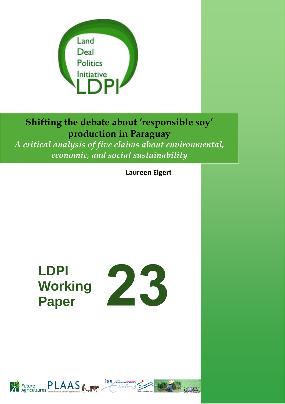

# **Shifting the debate about 'responsible soy' production in Paraguay**

*A critical analysis of five claims about environmental, economic, and social sustainability*

**Laureen Elgert**

# **LDPI Working Paper**





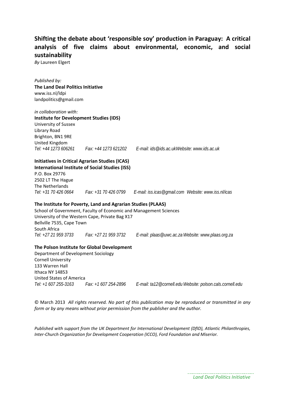# **Shifting the debate about 'responsible soy' production in Paraguay: A critical analysis of five claims about environmental, economic, and social sustainability**

*By* Laureen Elgert

*Published by:* **The Land Deal Politics Initiative** www.iss.nl/ldpi landpolitics@gmail.com

*in collaboration with:*  **Institute for Development Studies (IDS)** University of Sussex Library Road Brighton, BN1 9RE United Kingdom *Tel: +44 1273 606261 Fax: +44 1273 621202 E-mail: ids@ids.ac.uk Website: www.ids.ac.uk* 

# **Initiatives in Critical Agrarian Studies (ICAS)**

**International Institute of Social Studies (ISS)** P.O. Box 29776 2502 LT The Hague The Netherlands

*Tel: +31 70 426 0664 Fax: +31 70 426 0799 E-mail: iss.icas@gmail.com Website: www.iss.nl/icas*

#### **The Institute for Poverty, Land and Agrarian Studies (PLAAS)**

School of Government, Faculty of Economic and Management Sciences University of the Western Cape, Private Bag X17 Bellville 7535, Cape Town South Africa *Tel: +27 21 959 3733 Fax: +27 21 959 3732 E-mail: plaas@uwc.ac.za Website: www.plaas.org.za* 

#### **The Polson Institute for Global Development**

Department of Development Sociology Cornell University 133 Warren Hall Ithaca NY 14853 United States of America *Tel: +1 607 255-3163 Fax: +1 607 254-2896 E-mail: ta12@cornell.edu Website: polson.cals.cornell.edu* 

© March 2013 *All rights reserved. No part of this publication may be reproduced or transmitted in any form or by any means without prior permission from the publisher and the author.*

*Published with support from the UK Department for International Development (DfID), Atlantic Philanthropies, Inter‐Church Organization for Development Cooperation (ICCO), Ford Foundation and Miserior.*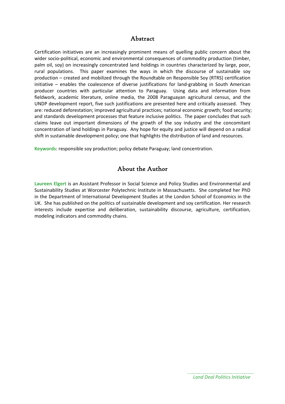# Abstract

Certification initiatives are an increasingly prominent means of quelling public concern about the wider socio-political, economic and environmental consequences of commodity production (timber, palm oil, soy) on increasingly concentrated land holdings in countries characterized by large, poor, rural populations. This paper examines the ways in which the discourse of sustainable soy production – created and mobilized through the Roundtable on Responsible Soy (RTRS) certification initiative – enables the coalescence of diverse justifications for land‐grabbing in South American producer countries with particular attention to Paraguay. Using data and information from fieldwork, academic literature, online media, the 2008 Paraguayan agricultural census, and the UNDP development report, five such justifications are presented here and critically assessed. They are: reduced deforestation; improved agricultural practices; national economic growth; food security; and standards development processes that feature inclusive politics. The paper concludes that such claims leave out important dimensions of the growth of the soy industry and the concomitant concentration of land holdings in Paraguay. Any hope for equity and justice will depend on a radical shift in sustainable development policy; one that highlights the distribution of land and resources.

**Keywords**: responsible soy production; policy debate Paraguay; land concentration.

# About the Author

**Laureen Elgert** is an Assistant Professor in Social Science and Policy Studies and Environmental and Sustainability Studies at Worcester Polytechnic Institute in Massachusetts. She completed her PhD in the Department of International Development Studies at the London School of Economics in the UK. She has published on the politics of sustainable development and soy certification. Her research interests include expertise and deliberation, sustainability discourse, agriculture, certification, modeling indicators and commodity chains.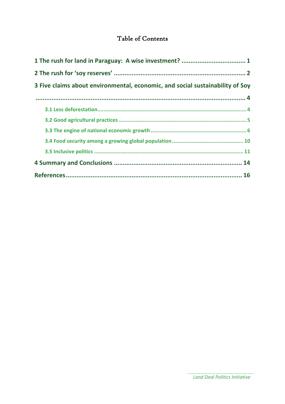# Table of Contents

| 3 Five claims about environmental, economic, and social sustainability of Soy |  |
|-------------------------------------------------------------------------------|--|
|                                                                               |  |
|                                                                               |  |
|                                                                               |  |
|                                                                               |  |
|                                                                               |  |
|                                                                               |  |
|                                                                               |  |
|                                                                               |  |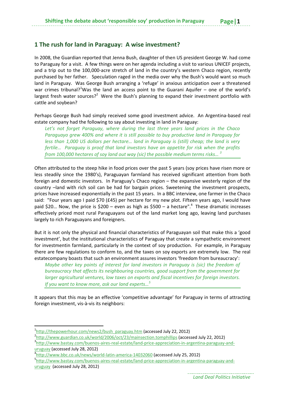# **1 The rush for land in Paraguay: A wise investment?**

In 2008, the Guardian reported that Jenna Bush, daughter of then US president George W. had come to Paraguay for a visit. A few things were on her agenda including a visit to various UNICEF projects, and a trip out to the 100,000-acre stretch of land in the country's western Chaco region, recently purchased by her father. Speculation raged in the media over why the Bush's would want so much land in Paraguay. Was George Bush arranging a 'refuge' in anxious anticipation over a threatened war crimes tribunal?<sup>1</sup>Was the land an access point to the Guarani Aquifer – one of the world's largest fresh water sources?<sup>2</sup> Were the Bush's planning to expand their investment portfolio with cattle and soybean?

Perhaps George Bush had simply received some good investment advice. An Argentina‐based real estate company had the following to say about investing in land in Paraguay:

*Let's not forget Paraguay, where during the last three years land prices in the Chaco Paraguayo grew 400% and where it is still possible to buy productive land in Paraguay for less than 1,000 US dollars per hectare… land in Paraguay is (still) cheap; the land is very fertile… Paraguay is proof that land investors have an appetite for risk when the profits from 100,000 hectares of soy land out way (sic) the possible medium terms risks… <sup>3</sup>*

Often attributed to the steep hike in food prices over the past 5 years (soy prices have risen more or less steadily since the 1980's), Paraguayan farmland has received significant attention from both foreign and domestic investors. In Paraguay's Chaco region – the expansive westerly region of the country –land with rich soil can be had for bargain prices. Sweetening the investment prospects, prices have increased exponentially in the past 15 years. In a BBC interview, one farmer in the Chaco said: "Four years ago I paid \$70 (£45) per hectare for my new plot. Fifteen years ago, I would have paid \$20... Now, the price is \$200 – even as high as \$500 – a hectare".<sup>4</sup> These dramatic increases effectively priced most rural Paraguayans out of the land market long ago, leaving land purchases largely to rich Paraguayans and foreigners.

But it is not only the physical and financial characteristics of Paraguayan soil that make this a 'good investment', but the institutional characteristics of Paraguay that create a sympathetic environment for investmentin farmland, particularly in the context of soy production. For example, in Paraguay there are few regulations to conform to, and the taxes on soy exports are extremely low. The real estatecompany boasts that such an environment assures investors 'freedom from bureaucracy':

*Maybe other key points of interest for land investors in Paraguay is (sic) the freedom of bureaucracy that affects its neighbouring countries, good support from the government for larger agricultural ventures, low taxes on exports and fiscal incentives for foreign investors. If you want to know more, ask our land experts…<sup>5</sup>*

It appears that this may be an effective 'competitive advantage' for Paraguay in terms of attracting foreign investment, vis‐à‐vis its neighbors:

 $\frac{1_{\text{http://thepowerhour.com/news/bush}}}{2_{\text{http://twouxcurcations.com/news/10006/out/22/meinacation}}$  (accessed July 22, 2012)

 $h^{2}$ http://www.guardian.co.uk/world/2006/oct/23/mainsection.tomphillips (accessed July 22, 2012)

<sup>&</sup>lt;sup>3</sup>http://www.bastay.com/buenos‐aires‐real‐estate/land‐price‐appreciation‐in‐argentina‐paraguay‐and‐ uruguay (accessed July 28, 2012) <sup>4</sup>

<sup>&</sup>lt;sup>4</sup>http://www.bbc.co.uk/news/world-latin-america-14032060 (accessed July 25, 2012)

http://www.bastay.com/buenos‐aires‐real‐estate/land‐price‐appreciation‐in‐argentina‐paraguay‐and‐ uruguay (accessed July 28, 2012)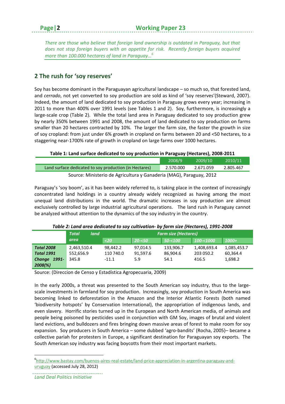*There are those who believe that foreign land ownership is outdated in Paraguay, but that does not stop foreign buyers with an appetite for risk. Recently foreign buyers acquired more than 100.000 hectares of land in Paraguay…<sup>6</sup>*

# **2 The rush for 'soy reserves'**

Soy has become dominant in the Paraguayan agricultural landscape – so much so, that forested land, and *cerrado*, not yet converted to soy production are sold as kind of 'soy reserves'(Steward, 2007). Indeed, the amount of land dedicated to soy production in Paraguay grows every year; increasing in 2011 to more than 400% over 1991 levels (see Tables 1 and 2). Soy, furthermore, is increasingly a large-scale crop (Table 2). While the total land area in Paraguay dedicated to soy production grew by nearly 350% between 1991 and 2008, the amount of land dedicated to soy production on farms smaller than 20 hectares contracted by 10%. The larger the farm size, the faster the growth in size of soy cropland: from just under 6% growth in cropland on farms between 20 and <50 hectares, to a staggering near‐1700% rate of growth in cropland on large farms over 1000 hectares.

**Table 1: Land surface dedicated to soy production in Paraguay (Hectares), 2008‐2011**

|                                                                     | 2008/9    | 2009/10   | $\frac{2010}{11}$ |  |  |  |
|---------------------------------------------------------------------|-----------|-----------|-------------------|--|--|--|
| Land surface dedicated to soy production (in Hectares)              | 2.570.000 | 2.671.059 | 2.805.467         |  |  |  |
| Source: Ministerio de Agricultura y Ganaderia (MAG), Paraguay, 2012 |           |           |                   |  |  |  |

Paraguay's 'soy boom', as it has been widely referred to, is taking place in the context of increasingly concentrated land holdings in a country already widely recognized as having among the most unequal land distributions in the world. The dramatic increases in soy production are almost exclusively controlled by large industrial agricultural operations. The land rush in Paraguay cannot be analyzed without attention to the dynamics of the soy industry in the country.

|                    | <b>Total</b><br>land |           | <b>Farm size (Hectares)</b> |            |             |             |
|--------------------|----------------------|-----------|-----------------------------|------------|-------------|-------------|
|                    | area                 | $<$ 20    | $20 - 50$                   | $50 - 100$ | 100-<1000   | 1000+       |
| <b>Total 2008</b>  | 2,463,510.4          | 98,442.2  | 97,014.5                    | 133,906.7  | 1,408,693.4 | 1,085,453.7 |
| <b>Total 1991</b>  | 552,656.9            | 110 740.0 | 91,597.6                    | 86,904.6   | 203 050.2   | 60,364.4    |
| $1991 -$<br>Change | 345.8                | $-11.1$   | 5.9                         | 54.1       | 416.5       | 1,698.2     |
| $2008(\%)$         |                      |           |                             |            |             |             |

#### *Table 2: Land area dedicated to soy cultivation‐ by farm size (Hectares), 1991‐2008*

Source: (Direccion de Censo y Estadística Agropecuaria, 2009)

In the early 2000s, a threat was presented to the South American soy industry, thus to the largescale investments in farmland for soy production. Increasingly, soy production in South America was becoming linked to deforestation in the Amazon and the Interior Atlantic Forests (both named 'biodiversity hotspots' by Conservation International), the appropriation of indigenous lands, and even slavery. Horrific stories turned up in the European and North American media, of animals and people being poisoned by pesticides used in conjunction with GM Soy, images of brutal and violent land evictions, and bulldozers and fires bringing down massive areas of forest to make room for soy expansion. Soy producers in South America – some dubbed 'agro-bandits' (Rocha, 2005)– became a collective pariah for protesters in Europe, a significant destination for Paraguayan soy exports. The South American soy industry was facing boycotts from their most important markets.

*Land Deal Politics Initiative*

<sup>6</sup> http://www.bastay.com/buenos‐aires‐real‐estate/land‐price‐appreciation‐in‐argentina‐paraguay‐and‐ uruguay (accessed July 28, 2012)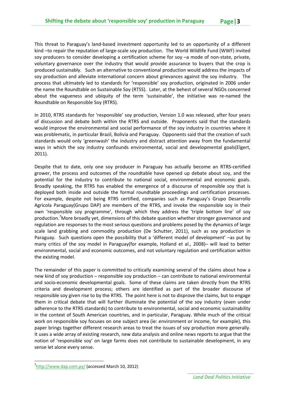This threat to Paraguay's land‐based investment opportunity led to an opportunity of a different kind -to repair the reputation of large-scale soy production. The World Wildlife Fund (WWF) invited soy producers to consider developing a certification scheme for soy –a mode of non-state, private, voluntary governance over the industry that would provide assurance to buyers that the crop is produced sustainably. Such an alternative to conventional production would address the impacts of soy production and alleviate international concern about grievances against the soy industry. The process that ultimately led to standards for 'responsible' soy production, originated in 2006 under the name the Roundtable on Sustainable Soy (RTSS). Later, at the behest of several NGOs concerned about the vagueness and ubiquity of the term 'sustainable', the initiative was re‐named the Roundtable on Responsible Soy (RTRS).

In 2010, RTRS standards for 'responsible' soy production, Version 1.0 was released, after four years of discussion and debate both within the RTRS and outside. Proponents said that the standards would improve the environmental and social performance of the soy industry in countries where it was problematic, in particular Brazil, Bolivia and Paraguay. Opponents said that the creation of such standards would only 'greenwash' the industry and distract attention away from the fundamental ways in which the soy industry confounds environmental, social and developmental goals(Elgert, 2011).

Despite that to date, only one soy producer in Paraguay has actually become an RTRS‐certified grower, the process and outcomes of the roundtable have opened up debate about soy, and the potential for the industry to contribute to national social, environmental and economic goals. Broadly speaking, the RTRS has enabled the emergence of a discourse of responsible soy that is deployed both inside and outside the formal roundtable proceedings and certification processes. For example, despite not being RTRS certified, companies such as Paraguay's Grupo Desarrollo Agricola Paraguay(Grupo DAP) are members of the RTRS, and invoke the responsible soy in their own 'responsible soy programme', through which they address the 'triple bottom line' of soy production.<sup>7</sup>More broadly yet, dimensions of this debate question whether stronger governance and regulation are responses to the most serious questions and problems posed by the dynamics of large scale land grabbing and commodity production (De Schutter, 2011), such as soy production in Paraguay. Such questions open the possibility that a 'different model of development' –as put by many critics of the soy model in Paraguay(for example, Holland et al., 2008)– will lead to better environmental, social and economic outcomes, and not voluntary regulation and certification within the existing model.

The remainder of this paper is committed to critically examining several of the claims about how a new kind of soy production – responsible soy production – can contribute to national environmental and socio‐economic developmental goals. Some of these claims are taken directly from the RTRS criteria and development process; others are identified as part of the broader discourse of responsible soy given rise to by the RTRS. The point here is not to disprove the claims, but to engage them in critical debate that will further illuminate the potential of the soy industry (even under adherence to the RTRS standards) to contribute to environmental, social and economic sustainability in the context of South American countries, and in particular, Paraguay. While much of the critical work on responsible soy focuses on one subject area (ie: environment or income, for example), this paper brings together different research areas to treat the issues of soy production more generally. It uses a wide array of existing research, new data analysis and online news reports to argue that the notion of 'responsible soy' on large farms does not contribute to sustainable development, in any sense let alone every sense.

<sup>7</sup> http://www.dap.com.py/ (accessed March 10, 2012)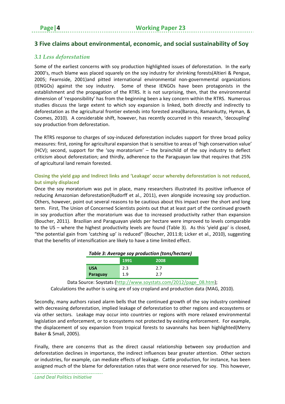# **3 Five claims about environmental, economic, and social sustainability of Soy**

# *3.1 Less deforestation*

Some of the earliest concerns with soy production highlighted issues of deforestation. In the early 2000's, much blame was placed squarely on the soy industry for shrinking forests(Altieri & Pengue, 2005; Fearnside, 2001)and pitted international environmental non‐governmental organizations (IENGOs) against the soy industry. Some of these IENGOs have been protagonists in the establishment and the propagation of the RTRS. It is not surprising, then, that the environmental dimension of 'responsibility' has from the beginning been a key concern within the RTRS. Numerous studies discuss the large extent to which soy expansion is linked, both directly and indirectly to deforestation as the agricultural frontier extends into forested area(Barona, Ramankutty, Hyman, & Coomes, 2010). A considerable shift, however, has recently occurred in this research, 'decoupling' soy production from deforestation.

The RTRS response to charges of soy-induced deforestation includes support for three broad policy measures: first, zoning for agricultural expansion that is sensitive to areas of 'high conservation value' (HCV); second, support for the 'soy moratorium' – the brainchild of the soy industry to deflect criticism about deforestation; and thirdly, adherence to the Paraguayan law that requires that 25% of agricultural land remain forested.

## **Closing the yield gap and Indirect links and 'Leakage' occur whereby deforestation is not reduced, but simply displaced**

Once the soy moratorium was put in place, many researchers illustrated its positive influence of reducing Amazonian deforestation(Rudorff et al., 2011), even alongside increasing soy production. Others, however, point out several reasons to be cautious about this impact over the short and long term. First, The Union of Concerned Scientists points out that at least part of the continued growth in soy production after the moratorium was due to increased productivity rather than expansion (Boucher, 2011). Brazilian and Paraguayan yields per hectare were improved to levels comparable to the US – where the highest productivity levels are found (Table 3). As this 'yield gap' is closed, "the potential gain from 'catching up' is reduced" (Boucher, 2011:8; Licker et al., 2010), suggesting that the benefits of intensification are likely to have a time limited effect.

| Table 3: Average soy production (tons/hectare) |     |     |  |  |  |  |  |  |
|------------------------------------------------|-----|-----|--|--|--|--|--|--|
| 1991<br>2008                                   |     |     |  |  |  |  |  |  |
| <b>USA</b>                                     | 2.3 | 2.7 |  |  |  |  |  |  |
| Paraguay                                       | 1.9 | 27  |  |  |  |  |  |  |

Data Source: Soystats (http://www.soystats.com/2012/page\_08.htm); Calculations the author is using are of soy cropland and production data (MAG, 2010).

Secondly, many authors raised alarm bells that the continued growth of the soy industry combined with decreasing deforestation, implied leakage of deforestation to other regions and ecosystems or via other sectors. Leakage may occur into countries or regions with more relaxed environmental legislation and enforcement, or to ecosystems not protected by existing enforcement. For example, the displacement of soy expansion from tropical forests to savannahs has been highlighted(Merry Baker & Small, 2005).

Finally, there are concerns that as the direct causal relationship between soy production and deforestation declines in importance, the indirect influences bear greater attention. Other sectors or industries, for example, can mediate effects of leakage. Cattle production, for instance, has been assigned much of the blame for deforestation rates that were once reserved for soy. This however,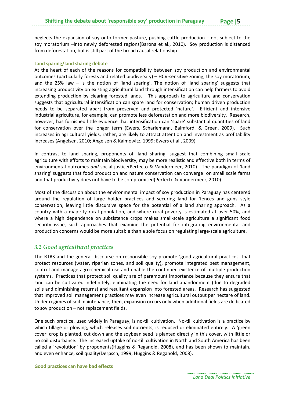neglects the expansion of soy onto former pasture, pushing cattle production – not subject to the soy moratorium –into newly deforested regions(Barona et al., 2010). Soy production is distanced from deforestation, but is still part of the broad causal relationship.

#### **Land sparing/land sharing debate**

At the heart of each of the reasons for compatibility between soy production and environmental outcomes (particularly forests and related biodiversity) – HCV‐sensitive zoning, the soy moratorium, and the 25% law  $-$  is the notion of 'land sparing'. The notion of 'land sparing' suggests that increasing productivity on existing agricultural land through intensification can help farmers to avoid extending production by clearing forested lands. This approach to agriculture and conservation suggests that agricultural intensification can spare land for conservation; human driven production needs to be separated apart from preserved and protected 'nature'. Efficient and intensive industrial agriculture, for example, can promote less deforestation and more biodiversity. Research, however, has furnished little evidence that intensification can 'spare' substantial quantities of land for conservation over the longer term (Ewers, Scharlemann, Balmford, & Green, 2009). Such increases in agricultural yields, rather, are likely to attract attention and investment as profitability increases (Angelsen, 2010; Angelsen & Kaimowitz, 1999; Ewers et al., 2009).

In contrast to land sparing, proponents of 'land sharing' suggest that combining small scale agriculture with efforts to maintain biodiversity, may be more realistic and effective both in terms of environmental outcomes *and* social justice(Perfecto & Vandermeer, 2010). The paradigm of 'land sharing' suggests that food production and nature conservation can converge on small scale farms and that productivity does not have to be compromised(Perfecto & Vandermeer, 2010).

Most of the discussion about the environmental impact of soy production in Paraguay has centered around the regulation of large holder practices and securing land for 'fences and guns'‐style conservation, leaving little discursive space for the potential of a land sharing approach. As a country with a majority rural population, and where rural poverty is estimated at over 50%, and where a high dependence on subsistence crops makes small-scale agriculture a significant food security issue, such approaches that examine the potential for integrating environmental and production concerns would be more suitable than a sole focus on regulating large-scale agriculture.

## *3.2 Good agricultural practices*

The RTRS and the general discourse on responsible soy promote 'good agricultural practices' that protect resources (water, riparian zones, and soil quality), promote integrated pest management, control and manage agro‐chemical use and enable the continued existence of multiple production systems. Practices that protect soil quality are of paramount importance because they ensure that land can be cultivated indefinitely, eliminating the need for land abandonment (due to degraded soils and diminishing returns) and resultant expansion into forested areas. Research has suggested that improved soil management practices may even increase agricultural output per hectare of land. Under regimes of soil maintenance, then, expansion occurs only when additional fields are dedicated to soy production – not replacement fields.

One such practice, used widely in Paraguay, is no-till cultivation. No-till cultivation is a practice by which tillage or plowing, which releases soil nutrients, is reduced or eliminated entirely. A 'green cover' crop is planted, cut down and the soybean seed is planted directly in this cover, with little or no soil disturbance. The increased uptake of no-till cultivation in North and South America has been called a 'revolution' by proponents(Huggins & Reganold, 2008), and has been shown to maintain, and even enhance, soil quality(Derpsch, 1999; Huggins & Reganold, 2008).

#### **Good practices can have bad effects**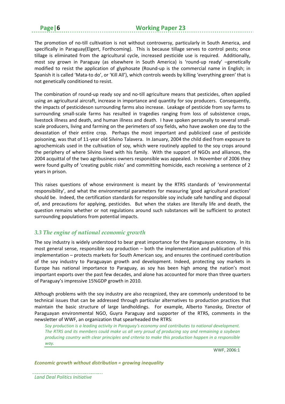**Page|6 Working Paper 23**

The promotion of no-till cultivation is not without controversy, particularly in South America, and specifically in Paraguay(Elgert, Forthcoming). This is because tillage serves to control pests; once tillage is eliminated from the agricultural cycle, increased pesticide use is required. Additionally, most soy grown in Paraguay (as elsewhere in South America) is 'round‐up ready' –genetically modified to resist the application of glyphosate (Round-up is the commercial name in English; in Spanish it is called 'Mata‐to do', or 'Kill All'), which controls weeds by killing 'everything green' that is not genetically conditioned to resist.

The combination of round-up ready soy and no-till agriculture means that pesticides, often applied using an agricultural aircraft, increase in importance and quantity for soy producers. Consequently, the impacts of pesticideson surrounding farms also increase. Leakage of pesticide from soy farms to surrounding small-scale farms has resulted in tragedies ranging from loss of subsistence crops, livestock illness and death, and human illness and death. I have spoken personally to several smallscale producers, living and farming on the perimeters of soy fields, who have awoken one day to the devastation of their entire crop. Perhaps the most important and publicized case of pesticide poisoning, was that of 11‐year old Silvino Talavera. In January, 2004 the child died from exposure to agrochemicals used in the cultivation of soy, which were routinely applied to the soy crops around the periphery of where Silvino lived with his family. With the support of NGOs and alliances, the 2004 acquittal of the two agribusiness owners responsible was appealed. In November of 2006 they were found guilty of 'creating public risks' and committing homicide, each receiving a sentence of 2 years in prison.

This raises questions of whose environment is meant by the RTRS standards of 'environmental responsibility', and what the environmental parameters for measuring 'good agricultural practices' should be. Indeed, the certification standards for responsible soy include safe handling and disposal of, and precautions for applying, pesticides. But when the stakes are literally life and death, the question remains whether or not regulations around such substances will be sufficient to protect surrounding populations from potential impacts.

# *3.3 The engine of national economic growth*

The soy industry is widely understood to bear great importance for the Paraguayan economy. In its most general sense, responsible soy production – both the implementation and publication of this implementation – protects markets for South American soy, and ensures the continued contribution of the soy industry to Paraguayan growth and development. Indeed, protecting soy markets in Europe has national importance to Paraguay, as soy has been high among the nation's most important exports over the past few decades, and alone has accounted for more than three quarters of Paraguay's impressive 15%GDP growth in 2010.

Although problems with the soy industry are also recognized, they are commonly understood to be technical issues that can be addressed through particular alternatives to production practices that maintain the basic structure of large landholdings. For example, Alberto Yanosky, Director of Paraguayan environmental NGO, Guyra Paraguay and supporter of the RTRS, comments in the newsletter of WWF, an organization that spearheaded the RTRS:

*Soy production is a leading activity in Paraguay's economy and contributes to national development. The RTRS and its members could make us all very proud of producing soy and remaining a soybean producing country with clear principles and criteria to make this production happen in a responsible way.*

WWF, 2006:1

*Economic growth without distribution = growing inequality*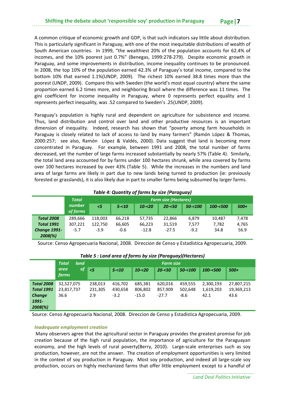A common critique of economic growth and GDP, is that such indicators say little about distribution. This is particularly significant in Paraguay, with one of the most inequitable distributions of wealth of South American countries. In 1999, "the wealthiest 20% of the population accounts for 62.4% of incomes, and the 10% poorest just 0.7%" (Benegas, 1999:278‐279). Despite economic growth in Paraguay, and some improvements in distribution, income inequality continues to be pronounced. In 2008, the top 10% of the population earned 42.3% of Paraguay's total income, compared to the bottom 10% that earned 1.1%(UNDP, 2009). The richest 10% earned 38.8 times more than the poorest (UNDP, 2009). Compare this with Sweden (the world's most equal country) where the same proportion earned 6.2 times more, and neighboring Brazil where the difference was 11 times. The gini coefficient for income inequality in Paraguay, where 0 represents perfect equality and 1 represents perfect inequality, was .52 compared to Sweden's .25(UNDP, 2009).

Paraguay's population is highly rural and dependent on agriculture for subsistence and income. Thus, land distribution and control over land and other productive resources is an important dimension of inequality. Indeed, research has shown that "poverty among farm households in Paraguay is closely related to lack of access to land by many farmers" (Ramón López & Thomas, 2000:257; see also, Ramón López & Valdés, 2000). Data suggest that land is becoming more concentrated in Paraguay. For example, between 1991 and 2008, the total number of farms decreased, yet the number of large farms increased substantially by nearly 57% (Table 4). Similarly, the total land area accounted for by farms under 100 hectares shrunk, while area covered by farms over 100 hectares increased by over 43% (Table 5). While the increases in the numbers and land area of large farms are likely in part due to new lands being turned to production (ie: previously forested or grasslands), it is also likely due in part to smaller farms being subsumed by larger farms.

| Table 4: Quantity of farms by size (Paraguay) |                    |          |                             |           |           |            |          |        |
|-----------------------------------------------|--------------------|----------|-----------------------------|-----------|-----------|------------|----------|--------|
|                                               | <b>Total</b>       |          | <b>Farm size (Hectares)</b> |           |           |            |          |        |
|                                               | number<br>of farms | $\leq$ 5 | $5 - 10$                    | $10 - 20$ | $20 - 50$ | $50 - 100$ | 100-<500 | $500+$ |
| <b>Total 2008</b>                             | 289,666            | 118,003  | 66,218                      | 57,735    | 22,866    | 6,879      | 10,487   | 7,478  |
| <b>Total 1991</b>                             | 307,221            | 122,750  | 66,605                      | 66,223    | 31,519    | 7,577      | 7,782    | 4,765  |
| <b>Change 1991-</b>                           | $-5.7$             | $-3.9$   | $-0.6$                      | $-12.8$   | $-27.5$   | $-9.2$     | 34.8     | 56.9   |
| $2008(\%)$                                    |                    |          |                             |           |           |            |          |        |

Source: Censo Agropecuaria Nacional, 2008. Direccion de Censo y Estadística Agropecuaria, 2009.

|                   | land<br><b>Total</b>              | <b>Farm size</b> |          |           |           |            |             |            |
|-------------------|-----------------------------------|------------------|----------|-----------|-----------|------------|-------------|------------|
|                   | <b>of</b><br>area<br><i>farms</i> | $\leq$ 5         | $5 - 10$ | $10 - 20$ | $20 - 50$ | $50 - 100$ | $100 - 500$ | $500+$     |
| <b>Total 2008</b> | 32,527,075                        | 238,013          | 416.702  | 685,381   | 620,016   | 459,555    | 2,300,193   | 27,807,215 |
| <b>Total 1991</b> | 23,817,737                        | 231,305          | 430,658  | 806,802   | 857,909   | 502,648    | 1,619,203   | 19,369,213 |
| Change            | 36.6                              | 2.9              | $-3.2$   | $-15.0$   | $-27.7$   | $-8.6$     | 42.1        | 43.6       |
| 1991-             |                                   |                  |          |           |           |            |             |            |
| $2008(\%)$        |                                   |                  |          |           |           |            |             |            |

#### *Table 5 : Land area of farms by size (Paraguay)(Hectares)*

Source: Censo Agropecuaria Nacional, 2008. Direccion de Censo y Estadística Agropecuaria, 2009.

#### *Inadequate employment creation*

Many observers agree that the agricultural sector in Paraguay provides the greatest promise for job creation because of the high rural population, the importance of agriculture for the Paraguayan economy, and the high levels of rural poverty(Berry, 2010). Large-scale enterprises such as soy production, however, are not the answer. The creation of employment opportunities is very limited in the context of soy production in Paraguay. Most soy production, and indeed all large‐scale soy production, occurs on highly mechanized farms that offer little employment except to a handful of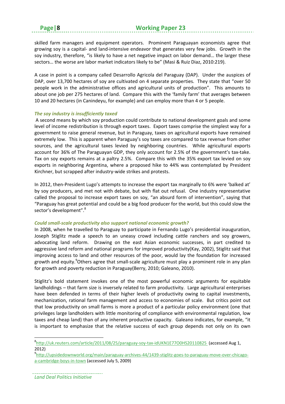skilled farm managers and equipment operators. Prominent Paraguayan economists agree that growing soy is a capital‐ and land‐intensive endeavor that generates very few jobs. Growth in the soy industry, therefore, "is likely to have a net negative impact on labor demand… the larger these sectors… the worse are labor market indicators likely to be" (Masi & Ruiz Diaz, 2010:219).

A case in point is a company called Desarrollo Agricola del Paraguay (DAP). Under the auspices of DAP, over 13,700 hectares of soy are cultivated on 4 separate properties. They state that "over 50 people work in the administrative offices and agricultural units of production". This amounts to about one job per 275 hectares of land. Compare this with the 'family farm' that averages between 10 and 20 hectares (in Canindeyu, for example) and can employ more than 4 or 5 people.

#### *The soy industry is insufficiently taxed*

A second means by which soy production could contribute to national development goals and some level of income redistribution is through export taxes. Export taxes comprise the simplest way for a government to raise general revenue, but in Paraguay, taxes on agricultural exports have remained extremely low. This is apparent when Paraguay's soy taxes are compared to tax revenue from other sources, and the agricultural taxes levied by neighboring countries. While agricultural exports account for 36% of The Paraguayan GDP, they only account for 2.5% of the government's tax-take. Tax on soy exports remains at a paltry 2.5%. Compare this with the 35% export tax levied on soy exports in neighboring Argentina, where a proposed hike to 44% was contemplated by President Kirchner, but scrapped after industry‐wide strikes and protests.

In 2012, then-President Lugo's attempts to increase the export tax marginally to 6% were 'balked at' by soy producers, and met not with debate, but with flat out refusal. One industry representative called the proposal to increase export taxes on soy, "an absurd form of intervention", saying that "Paraguay has great potential and could be a big food producer for the world, but this could slow the sector's development".<sup>8</sup>

#### *Could small‐scale productivity also support national economic growth?*

In 2008, when he travelled to Paraguay to participate in Fernando Lugo's presidential inauguration, Joseph Stiglitz made a speech to an uneasy crowd including cattle ranchers and soy growers, advocating land reform. Drawing on the east Asian economic successes, in part credited to aggressive land reform and national programs for improved productivity(Kay, 2002), Stiglitz said that improving access to land and other resources of the poor, would lay the foundation for increased growth and equity.<sup>9</sup>Others agree that small-scale agriculture must play a prominent role in any plan for growth and poverty reduction in Paraguay(Berry, 2010; Galeano, 2010).

Stiglitz's bold statement invokes one of the most powerful economic arguments for equitable landholdings – that farm size is inversely related to farm productivity. Large agricultural enterprises have been defended in terms of their higher levels of productivity owing to capital investments, mechanization, rational farm management and access to economies of scale. But critics point out that low productivity on small farms is more a product of a particular policy environment (one that privileges large landholders with little monitoring of compliance with environmental regulation, low taxes and cheap land) than of any inherent productive capacity. Galeano indicates, for example, "it is important to emphasize that the relative success of each group depends not only on its own

<sup>8</sup>http://uk.reuters.com/article/2011/08/25/paraguay-soy-tax-idUKN1E77O0HS20110825 (accessed Aug 1, 2012)

<sup>9</sup> http://upsidedownworld.org/main/paraguay‐archives‐44/1439‐stiglitz‐goes‐to‐paraguay‐move‐over‐chicago‐ a‐cambridge‐boys‐in‐town (accessed July 5, 2009)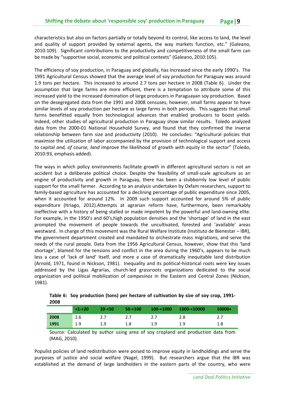characteristics but also on factors partially or totally beyond its control, like access to land, the level and quality of support provided by external agents, the way markets function, etc." (Galeano, 2010:109). Significant contributions to the productivity and competitiveness of the small farm can be made by "supportive social, economic and political contexts" (Galeano, 2010:105).

The efficiency of soy production, in Paraguay and globally, has increased since the early 1990's. The 1991 Agricultural Census showed that the average level of soy production for Paraguay was around 1.9 tons per hectare. This increased to around 2.7 tons per hectare in 2008 (Table 6). Under the assumption that large farms are more efficient, there is a temptation to attribute some of this increased yield to the increased domination of large producers in Paraguayan soy production. Based on the desegregated data from the 1991 and 2008 censuses, however, small farms appear to have similar levels of soy production per hectare as large farms in both periods. This suggests that small farms benefitted equally from technological advances that enabled producers to boost yields. Indeed, other studies of agricultural production in Paraguay show similar results. Toledo analyzed data from the 2000‐01 National Household Survey, and found that they confirmed the inverse relationship between farm size and productivity (2010). He concludes: "Agricultural policies that maximize the utilization of labor accompanied by the provision of technological support and access to capital *and, of course, land* improve the likelihood of growth with equity in the sector" (Toledo, 2010:93, emphasis added).

The ways in which policy environments facilitate growth in different agricultural sectors is not an accident but a deliberate political choice. Despite the feasibility of small-scale agriculture as an engine of productivity and growth in Paraguay, there has been a stubbornly low level of public support for the small farmer. According to an analysis undertaken by Oxfam researchers, support to family‐based agriculture has accounted for a declining percentage of public expenditure since 2005, when it accounted for around 12%. In 2009 such support accounted for around 5% of public expenditure (Itriago, 2012).Attempts at agrarian reform have, furthermore, been remarkably ineffective with a history of being stalled or made impotent by the powerful and land-owning elite. For example, in the 1950's and 60's,high population densities and the 'shortage' of land in the east prompted the movement of people towards the uncultivated, forested and 'available' areas westward. In charge of this movement was the Rural Welfare Institute (Instituto de Bienestar – IBR), the government department created and mandated to orchestrate mass migrations, and serve the needs of the rural people. Data from the 1956 Agricultural Census, however, show that this 'land shortage', blamed for the tensions and conflict in the area during the 1960's, appears to be much less a case of 'lack of land' itself, and more a case of dramatically inequitable land distribution (Arnold, 1971, found in Nickson, 1981). Inequality and its political‐historical roots were key issues addressed by the Ligas Agrarias, church-led grassroots organizations dedicated to the social organization and political mobilization of *campesinos* in the Eastern and Central Zones (Nickson, 1981).

|      | $<1 - 20$ | $20 - 50$ | $50 - 100$ | $100 - 1000$ | 1000-<10000 | $10000+$ |
|------|-----------|-----------|------------|--------------|-------------|----------|
| 2008 | 2.6       |           |            |              | 2.8         |          |
| 1991 | 1.9       | 1.9       | 1.8        | 1.9          | 1.9         |          |

|      | Table 6: Soy production (tons) per hectare of cultivation by size of soy crop, 1991- |  |
|------|--------------------------------------------------------------------------------------|--|
| 2008 |                                                                                      |  |

Source: Calculated by author using area of soy cropland and production data from (MAG, 2010).

Populist policies of land redistribution were poised to improve equity in landholdings and serve the purposes of justice and social welfare (Nagel, 1999). But researchers argue that the IBR was established at the demand of large landholders in the eastern parts of the country, who were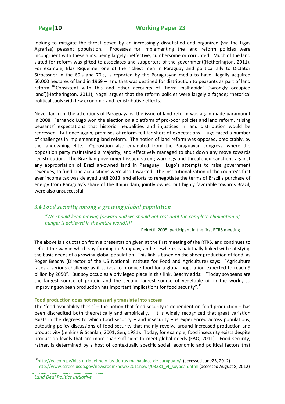#### **Page|10 Working Paper 23**

looking to mitigate the threat posed by an increasingly dissatisfied and organized (via the Ligas Agrarias) peasant population. Processes for implementing the land reform policies were incongruent with these aims, being largely ineffective, cumbersome or corrupted. Much of the land slated for reform was gifted to associates and supporters of the government(Hetherington, 2011). For example, Blas Riquelme, one of the richest men in Paraguay and political ally to Dictator Stroessner in the 60's and 70's, is reported by the Paraguayan media to have illegally acquired 50,000 hectares of land in 1969 – land that was destined for distribution to peasants as part of land reform.  $^{10}$  Consistent with this and other accounts of 'tierra malhabida' ('wrongly occupied land')(Hetherington, 2011), Nagel argues that the reform policies were largely a façade; rhetorical political tools with few economic and redistributive effects.

Never far from the attentions of Paraguayans, the issue of land reform was again made paramount in 2008. Fernando Lugo won the election on a platform of pro-poor policies and land reform, raising peasants' expectations that historic inequalities and injustices in land distribution would be redressed. But once again, promises of reform fell far short of expectations. Lugo faced a number of challenges in implementing land reform. The notion of land reform was opposed, predictably, by the landowning elite. Opposition also emanated from the Paraguayan congress, where the opposition party maintained a majority, and effectively managed to shut down any move towards redistribution. The Brazilian government issued strong warnings and threatened sanctions against any appropriation of Brazilian-owned land in Paraguay. Lugo's attempts to raise government revenues, to fund land acquisitions were also thwarted. The institutionalization of the country's first ever income tax was delayed until 2013, and efforts to renegotiate the terms of Brazil's purchase of energy from Paraguay's share of the Itaipu dam, jointly owned but highly favorable towards Brazil, were also unsuccessful.

## *3.4 Food security among a growing global population*

*"We should keep moving forward and we should not rest until the complete elimination of hunger is achieved in the entire world!!!!"* 

Peiretti, 2005, participant in the first RTRS meeting

The above is a quotation from a presentation given at the first meeting of the RTRS, and continues to reflect the way in which soy farming in Paraguay, and elsewhere, is habitually linked with satisfying the basic needs of a growing global population. This link is based on the sheer production of food, as Roger Beachy (Director of the US National Institute for Food and Agriculture) says: "Agriculture faces a serious challenge as it strives to produce food for a global population expected to reach 9 billion by 2050". But soy occupies a privileged place in this link, Beachy adds: "Today soybeans are the largest source of protein and the second largest source of vegetable oil in the world, so improving soybean production has important implications for food security".<sup>11</sup>

#### **Food production does not necessarily translate into access**

The 'food availability thesis' – the notion that food security is dependent on food production – has been discredited both theoretically and empirically. It is widely recognized that great variation exists in the degrees to which food security – and insecurity – is experienced across populations, outdating policy discussions of food security that mainly revolve around increased production and productivity (Jenkins & Scanlan, 2001; Sen, 1981). Today, for example, food insecurity exists despite production levels that are more than sufficient to meet global needs (FAO, 2011). Food security, rather, is determined by a host of contextually specific social, economic and political factors that

<sup>&</sup>lt;sup>10</sup>http://ea.com.py/blas-n-riquelme-y-las-tierras-malhabidas-de-curuguaty/ (accessed June25, 2012) 11<sup>http://www.csrees.usda.gov/newsroom/news/2011news/03281\_vt\_soybean.html (accessed August 8, 2012)</sup>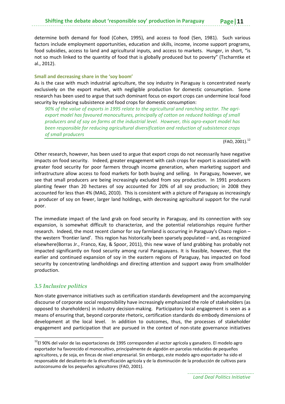determine both demand for food (Cohen, 1995), and access to food (Sen, 1981). Such various factors include employment opportunities, education and skills, income, income support programs, food subsidies, access to land and agricultural inputs, and access to markets. Hunger, in short, "is not so much linked to the quantity of food that is globally produced but to poverty" (Tscharntke et al., 2012).

#### **Small and decreasing share in the 'soy boom'**

As is the case with much industrial agriculture, the soy industry in Paraguay is concentrated nearly exclusively on the export market, with negligible production for domestic consumption. Some research has been used to argue that such dominant focus on export crops can undermine local food security by replacing subsistence and food crops for domestic consumption:

*90% of the value of exports in 1995 relate to the agricultural and ranching sector. The agri‐ export model has favoured monocultures, principally of cotton on reduced holdings of small producers and of soy on farms at the industrial level. However, this agro‐export model has been responsible for reducing agricultural diversification and reduction of subsistence crops of small producers*

 $(FAO, 2001).$ <sup>12</sup>

Other research, however, has been used to argue that export crops do not necessarily have negative impacts on food security. Indeed, greater engagement with cash crops for export is associated with greater food security for poor farmers through income generation, when marketing support and infrastructure allow access to food markets for both buying and selling. In Paraguay, however, we see that small producers are being increasingly excluded from soy production. In 1991 producers planting fewer than 20 hectares of soy accounted for 20% of all soy production; in 2008 they accounted for less than 4% (MAG, 2010). This is consistent with a picture of Paraguay as increasingly a producer of soy on fewer, larger land holdings, with decreasing agricultural support for the rural poor.

The immediate impact of the land grab on food security in Paraguay, and its connection with soy expansion, is somewhat difficult to characterize, and the potential relationships require further research. Indeed, the most recent clamor for soy farmland is occurring in Paraguay's Chaco region – the western 'frontier land'. This region has historically been sparsely populated – and, as recognized elsewhere(Borras Jr., Franco, Kay, & Spoor, 2011), this new wave of land grabbing has probably not impacted significantly on food security among rural Paraguayans. It is feasible, however, that the earlier and continued expansion of soy in the eastern regions of Paraguay, has impacted on food security by concentrating landholdings and directing attention and support away from smallholder production.

# *3.5 Inclusive politics*

Non‐state governance initiatives such as certification standards development and the accompanying discourse of corporate social responsibility have increasingly emphasized the role of stakeholders (as opposed to shareholders) in industry decision‐making. Participatory local engagement is seen as a means of ensuring that, beyond corporate rhetoric, certification standards do embody dimensions of development at the local level. In addition to outcomes, thus, the processes of stakeholder engagement and participation that are pursued in the context of non-state governance initiatives

 $12$ El 90% del valor de las exportaciones de 1995 corresponden al sector agrícola y ganadero. El modelo agro exportador ha favorecido el monocultivo, principalmente de algodón en parcelas reducidas de pequeños agricultores, y de soja, en fincas de nivel empresarial. Sin embargo, este modelo agro exportador ha sido el responsable del desaliento de la diversificación agrícola y de la disminución de la producción de cultivos para autoconsumo de los pequeños agricultores (FAO, 2001).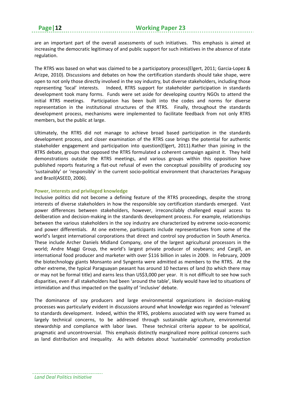are an important part of the overall assessments of such initiatives. This emphasis is aimed at increasing the democratic legitimacy of and public support for such initiatives in the absence of state regulation.

The RTRS was based on what was claimed to be a participatory process(Elgert, 2011; Garcia‐Lopez & Arizpe, 2010). Discussions and debates on how the certification standards should take shape, were open to not only those directly involved in the soy industry, but diverse stakeholders, including those representing 'local' interests. Indeed, RTRS support for stakeholder participation in standards development took many forms. Funds were set aside for developing country NGOs to attend the initial RTRS meetings. Participation has been built into the codes and norms for diverse representation in the institutional structures of the RTRS. Finally, throughout the standards development process, mechanisms were implemented to facilitate feedback from not only RTRS members, but the public at large.

Ultimately, the RTRS did not manage to achieve broad based participation in the standards development process, and closer examination of the RTRS case brings the potential for authentic stakeholder engagement and participation into question(Elgert, 2011).Rather than joining in the RTRS debate, groups that opposed the RTRS formulated a coherent campaign against it. They held demonstrations outside the RTRS meetings, and various groups within this opposition have published reports featuring a flat-out refusal of even the conceptual possibility of producing soy 'sustainably' or 'responsibly' in the current socio‐political environment that characterizes Paraguay and Brazil(ASEED, 2006).

#### **Power, interests and privileged knowledge**

Inclusive politics did not become a defining feature of the RTRS proceedings, despite the strong interests of diverse stakeholders in how the responsible soy certification standards emerged. Vast power differences between stakeholders, however, irreconcilably challenged equal access to deliberation and decision‐making in the standards development process. For example, relationships between the various stakeholders in the soy industry are characterized by extreme socio‐economic and power differentials. At one extreme, participants include representatives from some of the world's largest international corporations that direct and control soy production in South America. These include Archer Daniels Midland Company, one of the largest agricultural processors in the world; Andre Maggi Group, the world's largest private producer of soybeans; and Cargill, an international food producer and marketer with over \$116 billion in sales in 2009. In February, 2009 the biotechnology giants Monsanto and Syngenta were admitted as members to the RTRS. At the other extreme, the typical Paraguayan peasant has around 10 hectares of land (to which there may or may not be formal title) and earns less than US\$3,000 per year. It is not difficult to see how such disparities, even if all stakeholders had been 'around the table', likely would have led to situations of intimidation and thus impacted on the quality of 'inclusive' debate.

The dominance of soy producers and large environmental organizations in decision‐making processes was particularly evident in discussions around what knowledge was regarded as 'relevant' to standards development. Indeed, within the RTRS, problems associated with soy were framed as largely technical concerns, to be addressed through sustainable agriculture, environmental stewardship and compliance with labor laws. These technical criteria appear to be apolitical, pragmatic and uncontroversial. This emphasis distinctly marginalized more political concerns such as land distribution and inequality. As with debates about 'sustainable' commodity production

*Land Deal Politics Initiative*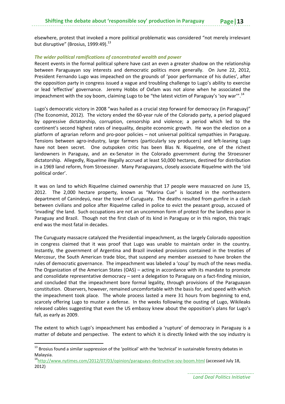elsewhere, protest that invoked a more political problematic was considered "not merely irrelevant but disruptive" (Brosius, 1999:49). $^{13}$ 

#### *The wider political ramifications of concentrated wealth and power*

Recent events in the formal political sphere have cast an even a greater shadow on the relationship between Paraguayan soy interests and democratic politics more generally. On June 22, 2012, President Fernando Lugo was impeached on the grounds of 'poor performance of his duties', after the opposition party in congress issued a vague and troubling challenge to Lugo's ability to exercise or lead 'effective' governance. Jeremy Hobbs of Oxfam was not alone when he associated the impeachment with the soy boom, claiming Lugo to be "the latest victim of Paraguay's 'soy war'".<sup>14</sup>

Lugo's democratic victory in 2008 "was hailed as a crucial step forward for democracy (in Paraguay)" (The Economist, 2012). The victory ended the 60‐year rule of the Colorado party, a period plagued by oppressive dictatorship, corruption, censorship and violence; a period which led to the continent's second highest rates of inequality, despite economic growth. He won the election on a platform of agrarian reform and pro‐poor policies – not universal political sympathies in Paraguay. Tensions between agro-industry, large farmers (particularly soy producers) and left-leaning Lugo have not been secret. One outspoken critic has been Blas N. Riquelme, one of the richest landowners in Paraguay, and an ex‐Senator in the Colorado government during the Stroessner dictatorship. Allegedly, Riquelme illegally accrued at least 50,000 hectares, destined for distribution in a 1969 land reform, from Stroessner. Many Paraguayans, closely associate Riquelme with the 'old political order'.

It was on land to which Riquelme claimed ownership that 17 people were massacred on June 15, 2012. The 2,000 hectare property, known as "Marina Cue" is located in the northeastern department of Canindeyú, near the town of Curuguaty. The deaths resulted from gunfire in a clash between civilians and police after Riquelme called in police to evict the peasant group, accused of 'invading' the land. Such occupations are not an uncommon form of protest for the landless poor in Paraguay and Brazil. Though not the first clash of its kind in Paraguay or in this region, this tragic end was the most fatal in decades.

The Curuguaty massacre catalyzed the Presidential impeachment, as the largely Colorado opposition in congress claimed that it was proof that Lugo was unable to maintain order in the country. Instantly, the government of Argentina and Brazil invoked provisions contained in the treaties of Mercosur, the South American trade bloc, that suspend any member assessed to have broken the rules of democratic governance. The impeachment was labeled a 'coup' by much of the news media. The Organization of the American States (OAS) – acting in accordance with its mandate to promote and consolidate representative democracy – sent a delegation to Paraguay on a fact-finding mission, and concluded that the impeachment bore formal legality, through provisions of the Paraguayan constitution. Observers, however, remained uncomfortable with the basis for, and speed with which the impeachment took place. The whole process lasted a mere 31 hours from beginning to end, scarcely offering Lugo to muster a defense. In the weeks following the ousting of Lugo, Wikileaks released cables suggesting that even the US embassy knew about the opposition's plans for Lugo's fall, as early as 2009.

The extent to which Lugo's impeachment has embodied a 'rupture' of democracy in Paraguay is a matter of debate and perspective. The extent to which it is directly linked with the soy industry is

<sup>&</sup>lt;sup>13</sup> Brosius found a similar suppression of the 'political' with the 'technical' in sustainable forestry debates in Malaysia.<br><sup>14</sup>http://www.nytimes.com/2012/07/03/opinion/paraguays-destructive-soy-boom.html (accessed July 18,

<sup>2012)</sup>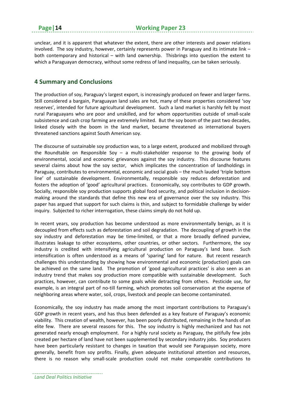unclear, and it is apparent that whatever the extent, there are other interests and power relations involved. The soy industry, however, certainly represents power in Paraguay and its intimate link – both contemporary and historical – with land ownership. Thisbrings into question the extent to which a Paraguayan democracy, without some redress of land inequality, can be taken seriously.

# **4 Summary and Conclusions**

The production of soy, Paraguay's largest export, is increasingly produced on fewer and larger farms. Still considered a bargain, Paraguayan land sales are hot, many of these properties considered 'soy reserves', intended for future agricultural development. Such a land market is harshly felt by most rural Paraguayans who are poor and unskilled, and for whom opportunities outside of small‐scale subsistence and cash crop farming are extremely limited. But the soy boom of the past two decades, linked closely with the boom in the land market, became threatened as international buyers threatened sanctions against South American soy.

The discourse of sustainable soy production was, to a large extent, produced and mobilized through the Roundtable on Responsible Soy – a multi-stakeholder response to the growing body of environmental, social and economic grievances against the soy industry. This discourse features several claims about how the soy sector, which implicates the concentration of landholdings in Paraguay, contributes to environmental, economic and social goals – the much lauded 'triple bottom line' of sustainable development. Environmentally, responsible soy reduces deforestation and fosters the adoption of 'good' agricultural practices. Economically, soy contributes to GDP growth. Socially, responsible soy production supports global food security, and political inclusion in decision‐ making around the standards that define this new era of governance over the soy industry. This paper has argued that support for such claims is thin, and subject to formidable challenge by wider inquiry. Subjected to richer interrogation, these claims simply do not hold up.

In recent years, soy production has become understood as more environmentally benign, as it is decoupled from effects such as deforestation and soil degradation. The decoupling of growth in the soy industry and deforestation may be time-limited, or that a more broadly defined purview, illustrates leakage to other ecosystems, other countries, or other sectors. Furthermore, the soy industry is credited with intensifying agricultural production on Paraguay's land base. Such intensification is often understood as a means of 'sparing' land for nature. But recent research challenges this understanding by showing how environmental and economic (production) goals can be achieved on the same land. The promotion of 'good agricultural practices' is also seen as an industry trend that makes soy production more compatible with sustainable development. Such practices, however, can contribute to some goals while detracting from others. Pesticide use, for example, is an integral part of no-till farming, which promotes soil conservation at the expense of neighboring areas where water, soil, crops, livestock and people can become contaminated.

Economically, the soy industry has made among the most important contributions to Paraguay's GDP growth in recent years, and has thus been defended as a key feature of Paraguay's economic viability. This creation of wealth, however, has been poorly distributed, remaining in the hands of an elite few. There are several reasons for this. The soy industry is highly mechanized and has not generated nearly enough employment. For a highly rural society as Paraguay, the pitifully few jobs created per hectare of land have not been supplemented by secondary industry jobs. Soy producers have been particularly resistant to changes in taxation that would see Paraguayan society, more generally, benefit from soy profits. Finally, given adequate institutional attention and resources, there is no reason why small‐scale production could not make comparable contributions to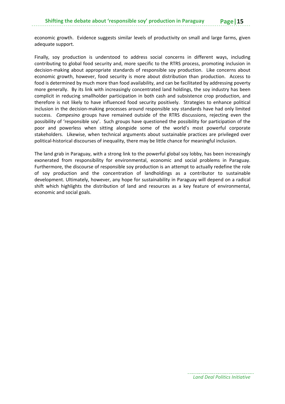economic growth. Evidence suggests similar levels of productivity on small and large farms, given adequate support.

Finally, soy production is understood to address social concerns in different ways, including contributing to global food security and, more specific to the RTRS process, promoting inclusion in decision‐making about appropriate standards of responsible soy production. Like concerns about economic growth, however, food security is more about distribution than production. Access to food is determined by much more than food availability, and can be facilitated by addressing poverty more generally. By its link with increasingly concentrated land holdings, the soy industry has been complicit in reducing smallholder participation in both cash and subsistence crop production, and therefore is not likely to have influenced food security positively. Strategies to enhance political inclusion in the decision‐making processes around responsible soy standards have had only limited success. *Campesino* groups have remained outside of the RTRS discussions, rejecting even the possibility of 'responsible soy'. Such groups have questioned the possibility for participation of the poor and powerless when sitting alongside some of the world's most powerful corporate stakeholders. Likewise, when technical arguments about sustainable practices are privileged over political‐historical discourses of inequality, there may be little chance for meaningful inclusion.

The land grab in Paraguay, with a strong link to the powerful global soy lobby, has been increasingly exonerated from responsibility for environmental, economic and social problems in Paraguay. Furthermore, the discourse of responsible soy production is an attempt to actually redefine the role of soy production and the concentration of landholdings as a contributor to sustainable development. Ultimately, however, any hope for sustainability in Paraguay will depend on a radical shift which highlights the distribution of land and resources as a key feature of environmental, economic and social goals.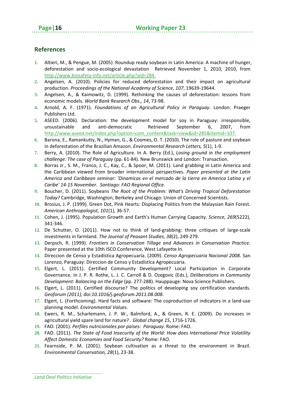# **References**

- **1.** Altieri, M., & Pengue, M. (2005). Roundup ready soybean in Latin America: A machine of hunger, deforestation and socio‐ecological devastation Retrieved November 1, 2010, 2010, from http://www.biosafety‐info.net/article.php?aid=284.
- **2.** Angelsen, A. (2010). Policies for reduced deforestation and their impact on agricultural production. *Proceedings of the National Academy of Science, 107*, 19639‐19644.
- **3.** Angelsen, A., & Kaimowitz, D. (1999). Rethinking the causes of deforestation: lessons from economic models. *World Bank Research Obs., 14*, 73‐98.
- **4.** Arnold, A. F. (1971). *Foundations of an Agricultural Policy in Paraguay*. London: Praeger Publishers Ltd.
- **5.** ASEED. (2006). Declaration: the development model for soy in Paraguay: irresponsible, unsustainable and anti‐democratic Retrieved September 6, 2007, from http://www.aseed.net/index.php?option=com\_content&task=view&id=285&Itemid=107.
- **6.** Barona, E., Ramankutty, N., Hyman, G., & Coomes, O. T. (2010). The role of pasture and soybean in deforestation of the Brazilian Amazon. *Environmental Research Letters, 5*(1), 1‐9.
- **7.** Berry, A. (2010). The Role of Agriculture. In A. Berry (Ed.), *Losing ground in the employment challenge: The case of Paraguay* (pp. 61‐84). New Brunswick and London: Transaction.
- **8.** Borras Jr., S. M., Franco, J. C., Kay, C., & Spoor, M. (2011). Land grabbing in Latin America and the Caribbean viewed from broader international perspectives. *Paper presented at the Latin America and Caribbean seminar: 'Dinamicas en el mercado de la tierra en America Latina y el Caribe' 14‐15 November. Santiago: FAO Regional Office.*
- **9.** Boucher, D. (2011). Soybeans *The Root of the Problem: What's Driving Tropical Deforestation Today?* Cambridge, Washington, Berkeley and Chicago: Union of Concerned Scientists.
- **10.** Brosius, J. P. (1999). Green Dot, Pink Hearts: Displacing Politics from the Malaysian Rain Forest. *American Anthropologist, 101*(1), 36‐57.
- **11.** Cohen, J. (1995). Population Growth and Earth's Human Carrying Capacity. *Science, 269*(5222), 341‐346.
- **12.** De Schutter, O. (2011). How not to think of land‐grabbing: three critiques of large‐scale investments in farmland. *The Journal of Peasant Studies, 38*(2), 249‐279.
- **13.** Derpsch, R. (1999). *Frontiers in Conservation Tillage and Advances in Conservation Practice.* Paper presented at the 10th ISCO Conference, West Lafayette In.
- **14.** Direccion de Censo y Estadística Agropecuaria. (2009). *Censo Agropecuaria Nacional 2008*. San Lorenzo, Paraguay: Direccion de Censo y Estadística Agropecuaria.
- **15.** Elgert, L. (2011). Certified Community Development? Local Participation in Corporate Governance. In J. P. R. Rothe, L. J. C. Carroll & D. Ozegovic (Eds.), *Deliberations in Community Development: Balancing on the Edge* (pp. 277‐288). Hauppauge: Nova Science Publishers.
- **16.** Elgert, L. (2011). Certified discourse? The politics of developing soy certification standards. *Geoforum (2011), doi:10.1016/j.geoforum.2011.08.008*.
- **17.** Elgert, L. (Forthcoming). Hard facts and software: The coproduction of indicators in a land‐use planning model. *Environmental Values*.
- **18.** Ewers, R. M., Scharlemann, J. P. W., Balmford, A., & Green, R. E. (2009). Do increases in agricultural yield spare land for nature? . *Global change 15*, 1716‐1726.
- **19.** FAO. (2001). *Perfiles nutricionales por paises: Paraguay*. Rome: FAO.
- **20.** FAO. (2011). *The State of Food Insecurity of the World: How does International Price Volatility Affect Domestic Economies and Food Security?* Rome: FAO.
- **21.** Fearnside, P. M. (2001). Soybean cultivation as a threat to the environment in Brazil. *Environmental Conservation, 28*(1), 23‐38.

*Land Deal Politics Initiative*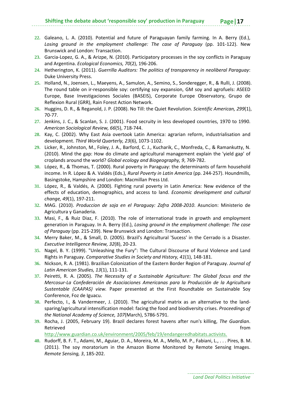- **22.** Galeano, L. A. (2010). Potential and future of Paraguayan family farming. In A. Berry (Ed.), *Losing ground in the employment challenge: The case of Paraguay* (pp. 101‐122). New Brunswick and London: Transaction.
- **23.** Garcia‐Lopez, G. A., & Arizpe, N. (2010). Participatory processes in the soy conflicts in Paraguay and Argentina. *Ecological Economics, 70*(2), 196‐206.
- **24.** Hetherington, K. (2011). *Guerrilla Auditors: The politics of transparency in neoliberal Paraguay*: Duke University Press.
- **25.** Holland, N., Joensen, L., Maeyens, A., Samulon, A., Semino, S., Sonderegger, R., & Rulli, J. (2008). The round table on ir-responsible soy: certifying soy expansion, GM soy and agrofuels: ASEED Europe, Base Investigaciones Sociales (BASEIS), Corporate Europe Observatory, Grupo de Reflexion Rural (GRR), Rain Forest Action Network.
- **26.** Huggins, D. R., & Reganold, J. P. (2008). No Till: the Quiet Revolution. *Scientific American, 299*(1), 70‐77.
- **27.** Jenkins, J. C., & Scanlan, S. J. (2001). Food secruity in less developed countries, 1970 to 1990. *American Sociological Review, 66*(5), 718‐744.
- **28.** Kay, C. (2002). Why East Asia overtook Latin America: agrarian reform, industrialisation and development. *Third World Quarterly, 23*(6), 1073‐1102.
- **29.** Licker, R., Johnston, M., Foley, J. A., Barford, C. J., Kucharik, C., Monfreda, C., & Ramankutty, N. (2010). Mind the gap: How do climate and agricultural management explain the 'yield gap' of croplands around the world? *Global ecology and Biogeography, 9*, 769‐782.
- **30.** López, R., & Thomas, T. (2000). Rural poverty in Paraguay: the determinants of farm household income. In R. López & A. Valdés (Eds.), *Rural Poverty in Latin America* (pp. 244‐257). Houndmills, Basingstoke, Hampshire and London: Macmillan Press Ltd.
- **31.** López, R., & Valdés, A. (2000). Fighting rural poverty in Latin America: New evidence of the effects of education, demographics, and access to land. *Economic development and cultural change, 49*(1), 197‐211.
- **32.** MAG. (2010). *Produccion de soja en el Paraguay: Zafra 2008‐2010*. Asuncion: Ministerio de Agricultura y Ganaderia.
- **33.** Masi, F., & Ruiz Diaz, F. (2010). The role of international trade in growth and employment generation in Paraguay. In A. Berry (Ed.), *Losing ground in the employment challenge: The case of Paraguay* (pp. 215‐239). New Brunswick and London: Transaction.
- **34.** Merry Baker, M., & Small, D. (2005). Brazil's Agricultural 'Sucess' in the Cerrado is a Disaster. *Executive Intelligence Review, 32*(8), 20‐23.
- **35.** Nagel, B. Y. (1999). "Unleashing the Fury": The Cultural Discourse of Rural Violence and Land Rights in Paraguay. *Comparative Studies in Society and History, 41*(1), 148‐181.
- **36.** Nickson, R. A. (1981). Brazilian Colonization of the Eastern Border Region of Paraguay. *Journal of Latin American Studies, 13*(1), 111‐131.
- **37.** Peiretti, R. A. (2005). *The Necessity of a Sustainable Agriculture: The Global focus and the Mercosur‐La Confederación de Asociaciones Americanas para la Producción de la Agricultura Sustentable (CAAPAS) view.* Paper presented at the First Roundtable on Sustainable Soy Conference, Foz de Iguacu.
- **38.** Perfecto, I., & Vandermeer, J. (2010). The agricultural matrix as an alternative to the land‐ sparing/agricultural intensification model: facing the food and biodiversity crises. *Proceedings of the National Academy of Science, 107*(March), 5786‐5791.
- **39.** Rocha, J. (2005, February 19). Brazil declares forest havens after nun's killing, *The Guardian*. Retrieved **for the contract of the contract of the contract of the contract of the contract of the contract of the contract of the contract of the contract of the contract of the contract of the contract of the contract of**

http://www.guardian.co.uk/environment/2005/feb/19/endangeredhabitats.activists.

**40.** Rudorff, B. F. T., Adami, M., Aguiar, D. A., Moreira, M. A., Mello, M. P., Fabiani, L., . . . Pires, B. M. (2011). The soy moratorium in the Amazon Biome Monitored by Remote Sensing Images. *Remote Sensing, 3*, 185‐202.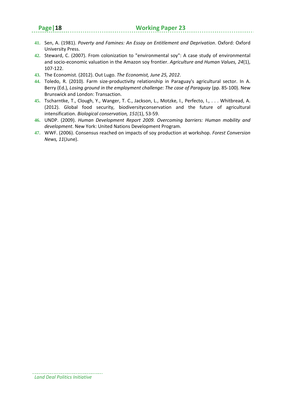- **41.** Sen, A. (1981). *Poverty and Famines: An Essay on Entitlement and Deprivation*. Oxford: Oxford University Press.
- **42.** Steward, C. (2007). From colonization to "environmental soy": A case study of environmental and socio‐economic valuation in the Amazon soy frontier. *Agriculture and Human Values, 24*(1), 107‐122.
- **43.** The Economist. (2012). Out Lugo. *The Economist, June 25, 2012*.
- **44.** Toledo, R. (2010). Farm size‐productivity relationship in Paraguay's agricultural sector. In A. Berry (Ed.), *Losing ground in the employment challenge: The case of Paraguay* (pp. 85‐100). New Brunswick and London: Transaction.
- **45.** Tscharntke, T., Clough, Y., Wanger, T. C., Jackson, L., Motzke, I., Perfecto, I., . . . Whitbread, A. (2012). Global food security, biodiversityconservation and the future of agricultural intensification. *Biological conservation, 151*(1), 53‐59.
- **46.** UNDP. (2009). *Human Development Report 2009. Overcoming barriers: Human mobility and development*. New York: United Nations Development Program.
- **47.** WWF. (2006). Consensus reached on impacts of soy production at workshop. *Forest Conversion News, 11*(June).

*Land Deal Politics Initiative*